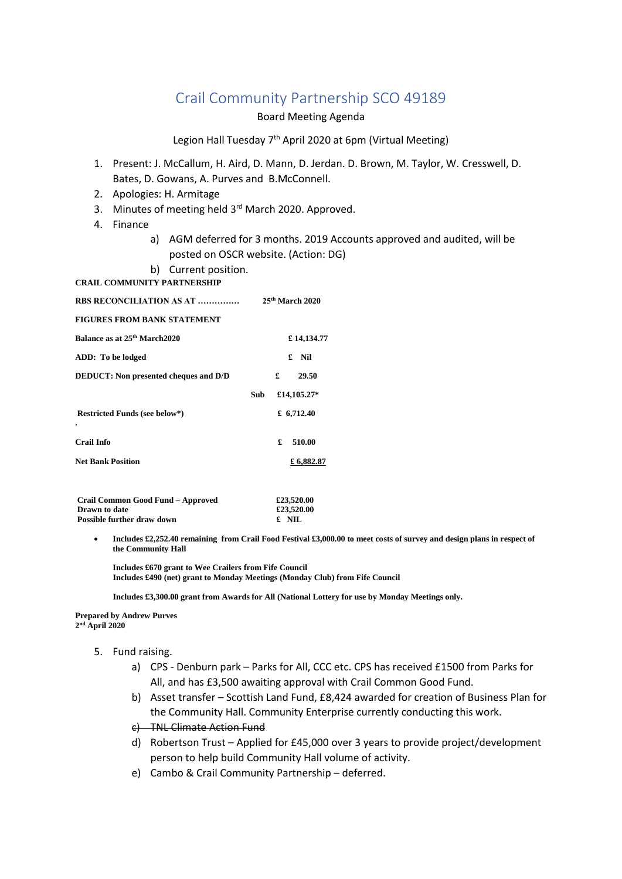# Crail Community Partnership SCO 49189

### Board Meeting Agenda

## Legion Hall Tuesday 7<sup>th</sup> April 2020 at 6pm (Virtual Meeting)

- 1. Present: J. McCallum, H. Aird, D. Mann, D. Jerdan. D. Brown, M. Taylor, W. Cresswell, D. Bates, D. Gowans, A. Purves and B.McConnell.
- 2. Apologies: H. Armitage
- 3. Minutes of meeting held 3<sup>rd</sup> March 2020. Approved.
- 4. Finance
	- a) AGM deferred for 3 months. 2019 Accounts approved and audited, will be posted on OSCR website. (Action: DG)
- b) Current position.
- **CRAIL COMMUNITY PARTNERSHIP**

| <b>RBS RECONCILIATION AS AT </b>             | 25 <sup>th</sup> March 2020 |
|----------------------------------------------|-----------------------------|
| <b>FIGURES FROM BANK STATEMENT</b>           |                             |
| Balance as at 25 <sup>th</sup> March 2020    | £14,134.77                  |
| ADD: To be lodged                            | £ Nil                       |
| <b>DEDUCT:</b> Non presented cheques and D/D | £<br>29.50                  |
|                                              | £14,105.27*<br><b>Sub</b>   |
| <b>Restricted Funds (see below*)</b>         | £ $6,712.40$                |
| ٠<br><b>Crail Info</b>                       | 510.00<br>£                 |
|                                              |                             |
| <b>Net Bank Position</b>                     | £6,882.87                   |

| Crail Common Good Fund - Approved | £23,520.00 |
|-----------------------------------|------------|
| <b>Drawn</b> to date              | £23,520.00 |
| <b>Possible further draw down</b> | £ NIL      |

 **Includes £2,252.40 remaining from Crail Food Festival £3,000.00 to meet costs of survey and design plans in respect of the Community Hall** 

**Includes £670 grant to Wee Crailers from Fife Council Includes £490 (net) grant to Monday Meetings (Monday Club) from Fife Council** 

 **Includes £3,300.00 grant from Awards for All (National Lottery for use by Monday Meetings only.** 

#### **Prepared by Andrew Purves 2 nd April 2020**

- 5. Fund raising.
	- a) CPS Denburn park Parks for All, CCC etc. CPS has received £1500 from Parks for All, and has £3,500 awaiting approval with Crail Common Good Fund.
	- b) Asset transfer Scottish Land Fund, £8,424 awarded for creation of Business Plan for the Community Hall. Community Enterprise currently conducting this work.
	- c) TNL Climate Action Fund
	- d) Robertson Trust Applied for £45,000 over 3 years to provide project/development person to help build Community Hall volume of activity.
	- e) Cambo & Crail Community Partnership deferred.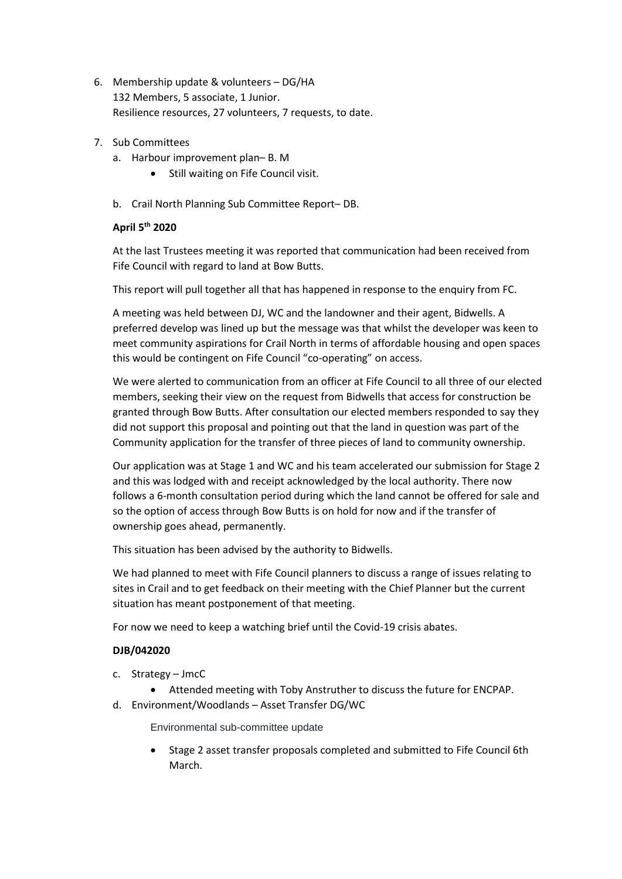- 6. Membership update & volunteers DG/HA 132 Members, 5 associate, 1 Junior. Resilience resources, 27 volunteers, 7 requests, to date.
- 7. Sub Committees
	- a. Harbour improvement plan– B. M
		- Still waiting on Fife Council visit.
	- b. Crail North Planning Sub Committee Report– DB.

## **April 5th 2020**

At the last Trustees meeting it was reported that communication had been received from Fife Council with regard to land at Bow Butts.

This report will pull together all that has happened in response to the enquiry from FC.

A meeting was held between DJ, WC and the landowner and their agent, Bidwells. A preferred develop was lined up but the message was that whilst the developer was keen to meet community aspirations for Crail North in terms of affordable housing and open spaces this would be contingent on Fife Council "co-operating" on access.

We were alerted to communication from an officer at Fife Council to all three of our elected members, seeking their view on the request from Bidwells that access for construction be granted through Bow Butts. After consultation our elected members responded to say they did not support this proposal and pointing out that the land in question was part of the Community application for the transfer of three pieces of land to community ownership.

Our application was at Stage 1 and WC and his team accelerated our submission for Stage 2 and this was lodged with and receipt acknowledged by the local authority. There now follows a 6-month consultation period during which the land cannot be offered for sale and so the option of access through Bow Butts is on hold for now and if the transfer of ownership goes ahead, permanently.

This situation has been advised by the authority to Bidwells.

We had planned to meet with Fife Council planners to discuss a range of issues relating to sites in Crail and to get feedback on their meeting with the Chief Planner but the current situation has meant postponement of that meeting.

For now we need to keep a watching brief until the Covid-19 crisis abates.

## **DJB/042020**

- c. Strategy JmcC
	- Attended meeting with Toby Anstruther to discuss the future for ENCPAP.
- d. Environment/Woodlands Asset Transfer DG/WC

Environmental sub-committee update

 Stage 2 asset transfer proposals completed and submitted to Fife Council 6th March.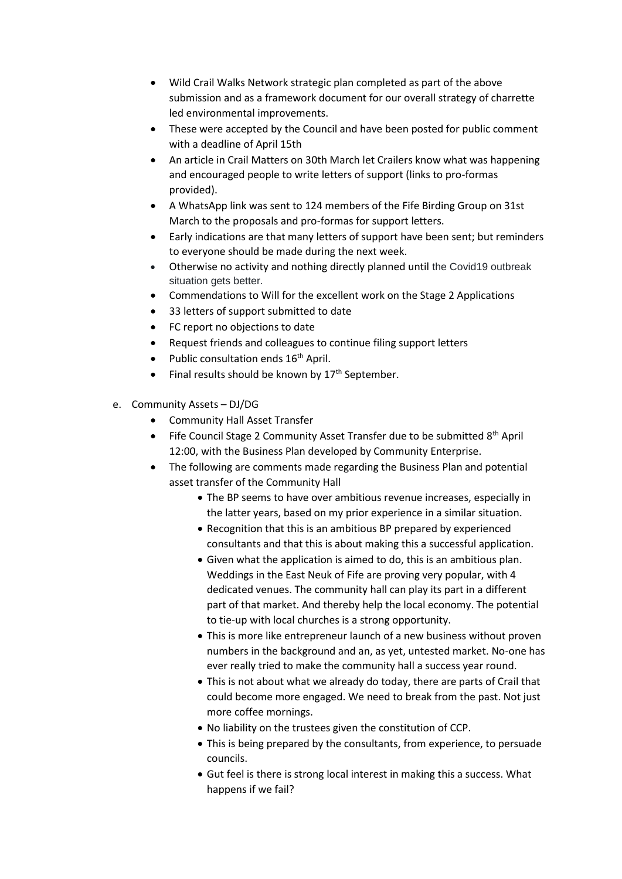- Wild Crail Walks Network strategic plan completed as part of the above submission and as a framework document for our overall strategy of charrette led environmental improvements.
- These were accepted by the Council and have been posted for public comment with a deadline of April 15th
- An article in Crail Matters on 30th March let Crailers know what was happening and encouraged people to write letters of support (links to pro-formas provided).
- A WhatsApp link was sent to 124 members of the Fife Birding Group on 31st March to the proposals and pro-formas for support letters.
- Early indications are that many letters of support have been sent; but reminders to everyone should be made during the next week.
- Otherwise no activity and nothing directly planned until the Covid19 outbreak situation gets better.
- Commendations to Will for the excellent work on the Stage 2 Applications
- 33 letters of support submitted to date
- FC report no objections to date
- Request friends and colleagues to continue filing support letters
- Public consultation ends  $16<sup>th</sup>$  April.
- Final results should be known by 17<sup>th</sup> September.
- e. Community Assets DJ/DG
	- Community Hall Asset Transfer
	- $\bullet$  Fife Council Stage 2 Community Asset Transfer due to be submitted  $8<sup>th</sup>$  April 12:00, with the Business Plan developed by Community Enterprise.
	- The following are comments made regarding the Business Plan and potential asset transfer of the Community Hall
		- The BP seems to have over ambitious revenue increases, especially in the latter years, based on my prior experience in a similar situation.
		- Recognition that this is an ambitious BP prepared by experienced consultants and that this is about making this a successful application.
		- Given what the application is aimed to do, this is an ambitious plan. Weddings in the East Neuk of Fife are proving very popular, with 4 dedicated venues. The community hall can play its part in a different part of that market. And thereby help the local economy. The potential to tie-up with local churches is a strong opportunity.
		- This is more like entrepreneur launch of a new business without proven numbers in the background and an, as yet, untested market. No-one has ever really tried to make the community hall a success year round.
		- This is not about what we already do today, there are parts of Crail that could become more engaged. We need to break from the past. Not just more coffee mornings.
		- No liability on the trustees given the constitution of CCP.
		- This is being prepared by the consultants, from experience, to persuade councils.
		- Gut feel is there is strong local interest in making this a success. What happens if we fail?